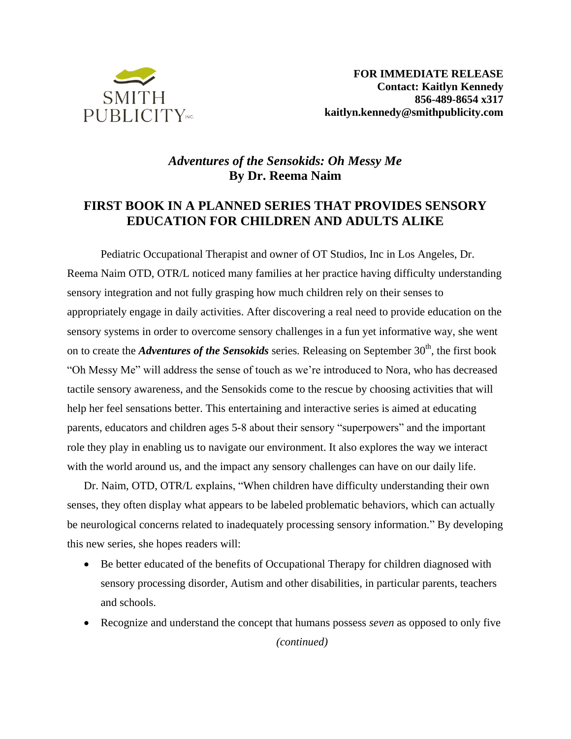

# *Adventures of the Sensokids: Oh Messy Me*  **By Dr. Reema Naim**

## **FIRST BOOK IN A PLANNED SERIES THAT PROVIDES SENSORY EDUCATION FOR CHILDREN AND ADULTS ALIKE**

Pediatric Occupational Therapist and owner of OT Studios, Inc in Los Angeles, Dr. Reema Naim OTD, OTR/L noticed many families at her practice having difficulty understanding sensory integration and not fully grasping how much children rely on their senses to appropriately engage in daily activities. After discovering a real need to provide education on the sensory systems in order to overcome sensory challenges in a fun yet informative way, she went on to create the *Adventures of the Sensokids* series. Releasing on September 30<sup>th</sup>, the first book "Oh Messy Me" will address the sense of touch as we're introduced to Nora, who has decreased tactile sensory awareness, and the Sensokids come to the rescue by choosing activities that will help her feel sensations better. This entertaining and interactive series is aimed at educating parents, educators and children ages 5-8 about their sensory "superpowers" and the important role they play in enabling us to navigate our environment. It also explores the way we interact with the world around us, and the impact any sensory challenges can have on our daily life.

Dr. Naim, OTD, OTR/L explains, "When children have difficulty understanding their own senses, they often display what appears to be labeled problematic behaviors, which can actually be neurological concerns related to inadequately processing sensory information." By developing this new series, she hopes readers will:

- Be better educated of the benefits of Occupational Therapy for children diagnosed with sensory processing disorder, Autism and other disabilities, in particular parents, teachers and schools.
- Recognize and understand the concept that humans possess *seven* as opposed to only five

*(continued)*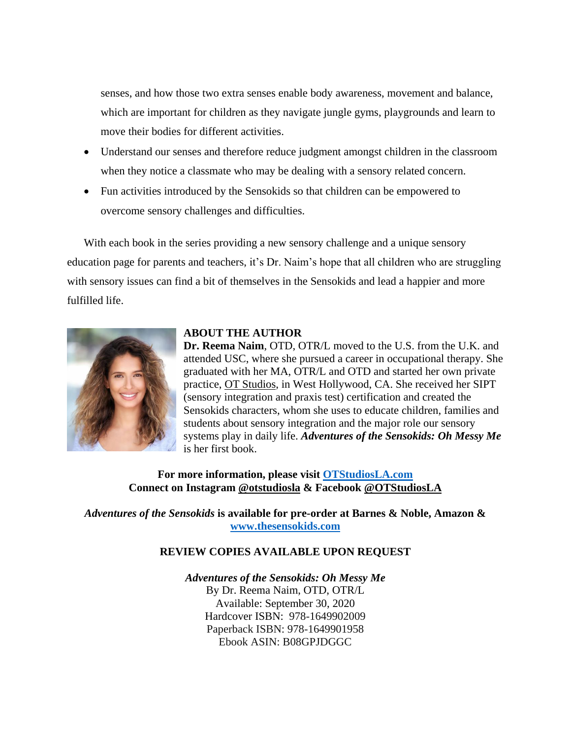senses, and how those two extra senses enable body awareness, movement and balance, which are important for children as they navigate jungle gyms, playgrounds and learn to move their bodies for different activities.

- Understand our senses and therefore reduce judgment amongst children in the classroom when they notice a classmate who may be dealing with a sensory related concern.
- Fun activities introduced by the Sensokids so that children can be empowered to overcome sensory challenges and difficulties.

With each book in the series providing a new sensory challenge and a unique sensory education page for parents and teachers, it's Dr. Naim's hope that all children who are struggling with sensory issues can find a bit of themselves in the Sensokids and lead a happier and more fulfilled life.



#### **ABOUT THE AUTHOR**

**Dr. Reema Naim**, OTD, OTR/L moved to the U.S. from the U.K. and attended USC, where she pursued a career in occupational therapy. She graduated with her MA, OTR/L and OTD and started her own private practice, [OT Studios,](http://www.otstudiosla.com/) in West Hollywood, CA. She received her SIPT (sensory integration and praxis test) certification and created the Sensokids characters, whom she uses to educate children, families and students about sensory integration and the major role our sensory systems play in daily life. *Adventures of the Sensokids: Oh Messy Me* is her first book.

**For more information, please visit [OTStudiosLA.com](http://www.otstudiosla.com/) Connect on Instagram [@otstudiosla](https://www.instagram.com/otstudiosla/?hl=en) & Facebook [@OTStudiosLA](http://www.facebook.com/OTStudiosLA)**

*Adventures of the Sensokids* **is available for pre-order at Barnes & Noble, Amazon & [www.thesensokids.com](http://www.thesensokids.com/)**

### **REVIEW COPIES AVAILABLE UPON REQUEST**

#### *Adventures of the Sensokids: Oh Messy Me*

By Dr. Reema Naim, OTD, OTR/L Available: September 30, 2020 Hardcover ISBN: 978-1649902009 Paperback ISBN: 978-1649901958 Ebook ASIN: B08GPJDGGC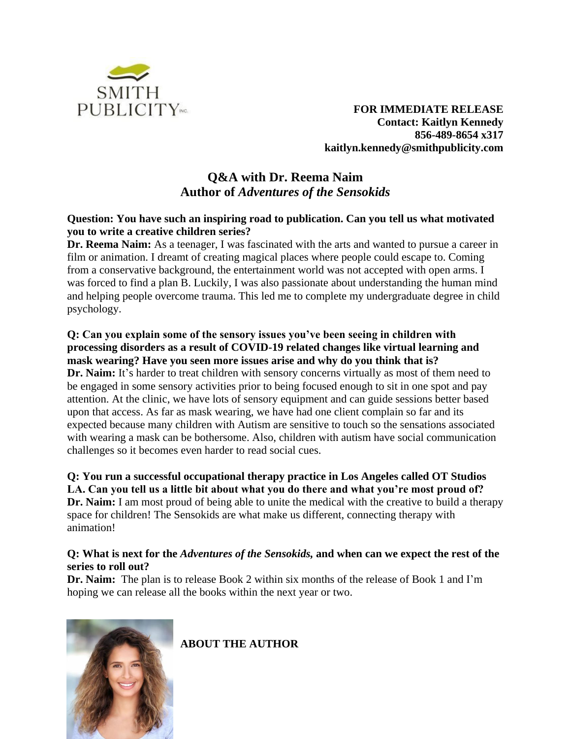

**FOR IMMEDIATE RELEASE Contact: Kaitlyn Kennedy 856-489-8654 x317 kaitlyn.kennedy@smithpublicity.com**

# **Q&A with Dr. Reema Naim Author of** *Adventures of the Sensokids*

### **Question: You have such an inspiring road to publication. Can you tell us what motivated you to write a creative children series?**

**Dr. Reema Naim:** As a teenager, I was fascinated with the arts and wanted to pursue a career in film or animation. I dreamt of creating magical places where people could escape to. Coming from a conservative background, the entertainment world was not accepted with open arms. I was forced to find a plan B. Luckily, I was also passionate about understanding the human mind and helping people overcome trauma. This led me to complete my undergraduate degree in child psychology.

### **Q: Can you explain some of the sensory issues you've been seeing in children with processing disorders as a result of COVID-19 related changes like virtual learning and mask wearing? Have you seen more issues arise and why do you think that is?**

Dr. Naim: It's harder to treat children with sensory concerns virtually as most of them need to be engaged in some sensory activities prior to being focused enough to sit in one spot and pay attention. At the clinic, we have lots of sensory equipment and can guide sessions better based upon that access. As far as mask wearing, we have had one client complain so far and its expected because many children with Autism are sensitive to touch so the sensations associated with wearing a mask can be bothersome. Also, children with autism have social communication challenges so it becomes even harder to read social cues.

## **Q: You run a successful occupational therapy practice in Los Angeles called OT Studios LA. Can you tell us a little bit about what you do there and what you're most proud of?**

**Dr. Naim:** I am most proud of being able to unite the medical with the creative to build a therapy space for children! The Sensokids are what make us different, connecting therapy with animation!

### **Q: What is next for the** *Adventures of the Sensokids,* **and when can we expect the rest of the series to roll out?**

**Dr. Naim:** The plan is to release Book 2 within six months of the release of Book 1 and I'm hoping we can release all the books within the next year or two.



**ABOUT THE AUTHOR**